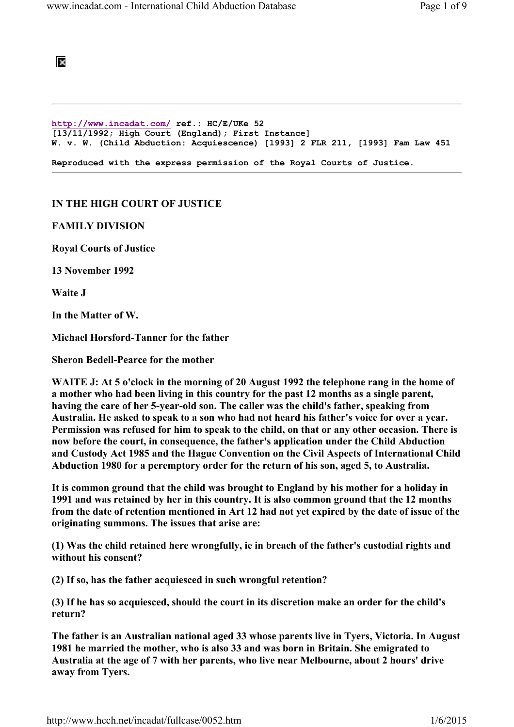

http://www.incadat.com/ ref.: HC/E/UKe 52 [13/11/1992; High Court (England); First Instance] W. v. W. (Child Abduction: Acquiescence) [1993] 2 FLR 211, [1993] Fam Law 451 Reproduced with the express permission of the Royal Courts of Justice.

## IN THE HIGH COURT OF JUSTICE

FAMILY DIVISION

Royal Courts of Justice

13 November 1992

Waite J

In the Matter of W.

Michael Horsford-Tanner for the father

Sheron Bedell-Pearce for the mother

WAITE J: At 5 o'clock in the morning of 20 August 1992 the telephone rang in the home of a mother who had been living in this country for the past 12 months as a single parent, having the care of her 5-year-old son. The caller was the child's father, speaking from Australia. He asked to speak to a son who had not heard his father's voice for over a year. Permission was refused for him to speak to the child, on that or any other occasion. There is now before the court, in consequence, the father's application under the Child Abduction and Custody Act 1985 and the Hague Convention on the Civil Aspects of International Child Abduction 1980 for a peremptory order for the return of his son, aged 5, to Australia.

It is common ground that the child was brought to England by his mother for a holiday in 1991 and was retained by her in this country. It is also common ground that the 12 months from the date of retention mentioned in Art 12 had not yet expired by the date of issue of the originating summons. The issues that arise are:

(1) Was the child retained here wrongfully, ie in breach of the father's custodial rights and without his consent?

(2) If so, has the father acquiesced in such wrongful retention?

(3) If he has so acquiesced, should the court in its discretion make an order for the child's return?

The father is an Australian national aged 33 whose parents live in Tyers, Victoria. In August 1981 he married the mother, who is also 33 and was born in Britain. She emigrated to Australia at the age of 7 with her parents, who live near Melbourne, about 2 hours' drive away from Tyers.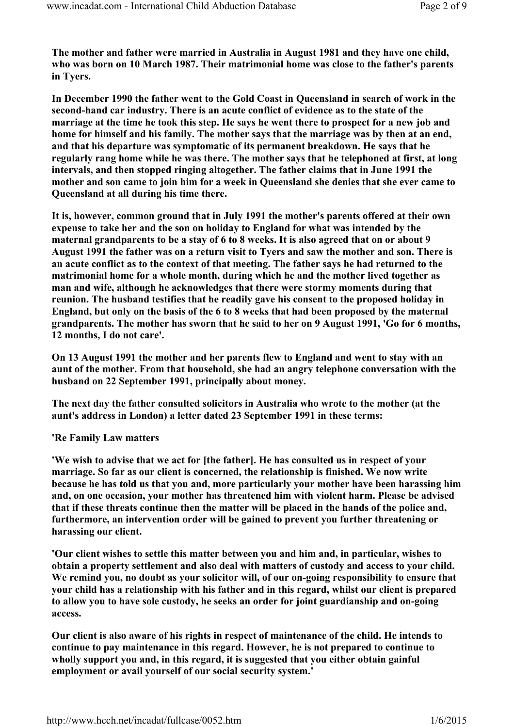The mother and father were married in Australia in August 1981 and they have one child, who was born on 10 March 1987. Their matrimonial home was close to the father's parents in Tyers.

In December 1990 the father went to the Gold Coast in Queensland in search of work in the second-hand car industry. There is an acute conflict of evidence as to the state of the marriage at the time he took this step. He says he went there to prospect for a new job and home for himself and his family. The mother says that the marriage was by then at an end, and that his departure was symptomatic of its permanent breakdown. He says that he regularly rang home while he was there. The mother says that he telephoned at first, at long intervals, and then stopped ringing altogether. The father claims that in June 1991 the mother and son came to join him for a week in Queensland she denies that she ever came to Queensland at all during his time there.

It is, however, common ground that in July 1991 the mother's parents offered at their own expense to take her and the son on holiday to England for what was intended by the maternal grandparents to be a stay of 6 to 8 weeks. It is also agreed that on or about 9 August 1991 the father was on a return visit to Tyers and saw the mother and son. There is an acute conflict as to the context of that meeting. The father says he had returned to the matrimonial home for a whole month, during which he and the mother lived together as man and wife, although he acknowledges that there were stormy moments during that reunion. The husband testifies that he readily gave his consent to the proposed holiday in England, but only on the basis of the 6 to 8 weeks that had been proposed by the maternal grandparents. The mother has sworn that he said to her on 9 August 1991, 'Go for 6 months, 12 months, I do not care'.

On 13 August 1991 the mother and her parents flew to England and went to stay with an aunt of the mother. From that household, she had an angry telephone conversation with the husband on 22 September 1991, principally about money.

The next day the father consulted solicitors in Australia who wrote to the mother (at the aunt's address in London) a letter dated 23 September 1991 in these terms:

'Re Family Law matters

'We wish to advise that we act for [the father]. He has consulted us in respect of your marriage. So far as our client is concerned, the relationship is finished. We now write because he has told us that you and, more particularly your mother have been harassing him and, on one occasion, your mother has threatened him with violent harm. Please be advised that if these threats continue then the matter will be placed in the hands of the police and, furthermore, an intervention order will be gained to prevent you further threatening or harassing our client.

'Our client wishes to settle this matter between you and him and, in particular, wishes to obtain a property settlement and also deal with matters of custody and access to your child. We remind you, no doubt as your solicitor will, of our on-going responsibility to ensure that your child has a relationship with his father and in this regard, whilst our client is prepared to allow you to have sole custody, he seeks an order for joint guardianship and on-going access.

Our client is also aware of his rights in respect of maintenance of the child. He intends to continue to pay maintenance in this regard. However, he is not prepared to continue to wholly support you and, in this regard, it is suggested that you either obtain gainful employment or avail yourself of our social security system.'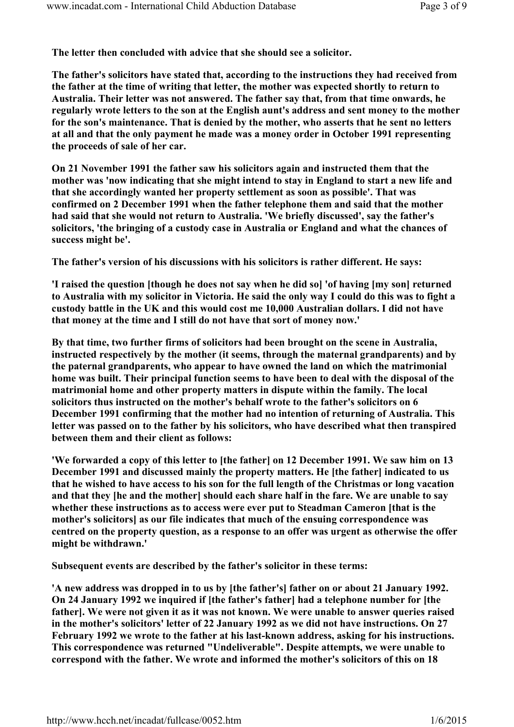The letter then concluded with advice that she should see a solicitor.

The father's solicitors have stated that, according to the instructions they had received from the father at the time of writing that letter, the mother was expected shortly to return to Australia. Their letter was not answered. The father say that, from that time onwards, he regularly wrote letters to the son at the English aunt's address and sent money to the mother for the son's maintenance. That is denied by the mother, who asserts that he sent no letters at all and that the only payment he made was a money order in October 1991 representing the proceeds of sale of her car.

On 21 November 1991 the father saw his solicitors again and instructed them that the mother was 'now indicating that she might intend to stay in England to start a new life and that she accordingly wanted her property settlement as soon as possible'. That was confirmed on 2 December 1991 when the father telephone them and said that the mother had said that she would not return to Australia. 'We briefly discussed', say the father's solicitors, 'the bringing of a custody case in Australia or England and what the chances of success might be'.

The father's version of his discussions with his solicitors is rather different. He says:

'I raised the question [though he does not say when he did so] 'of having [my son] returned to Australia with my solicitor in Victoria. He said the only way I could do this was to fight a custody battle in the UK and this would cost me 10,000 Australian dollars. I did not have that money at the time and I still do not have that sort of money now.'

By that time, two further firms of solicitors had been brought on the scene in Australia, instructed respectively by the mother (it seems, through the maternal grandparents) and by the paternal grandparents, who appear to have owned the land on which the matrimonial home was built. Their principal function seems to have been to deal with the disposal of the matrimonial home and other property matters in dispute within the family. The local solicitors thus instructed on the mother's behalf wrote to the father's solicitors on 6 December 1991 confirming that the mother had no intention of returning of Australia. This letter was passed on to the father by his solicitors, who have described what then transpired between them and their client as follows:

'We forwarded a copy of this letter to [the father] on 12 December 1991. We saw him on 13 December 1991 and discussed mainly the property matters. He [the father] indicated to us that he wished to have access to his son for the full length of the Christmas or long vacation and that they [he and the mother] should each share half in the fare. We are unable to say whether these instructions as to access were ever put to Steadman Cameron [that is the mother's solicitors] as our file indicates that much of the ensuing correspondence was centred on the property question, as a response to an offer was urgent as otherwise the offer might be withdrawn.'

Subsequent events are described by the father's solicitor in these terms:

'A new address was dropped in to us by [the father's] father on or about 21 January 1992. On 24 January 1992 we inquired if [the father's father] had a telephone number for [the father]. We were not given it as it was not known. We were unable to answer queries raised in the mother's solicitors' letter of 22 January 1992 as we did not have instructions. On 27 February 1992 we wrote to the father at his last-known address, asking for his instructions. This correspondence was returned "Undeliverable". Despite attempts, we were unable to correspond with the father. We wrote and informed the mother's solicitors of this on 18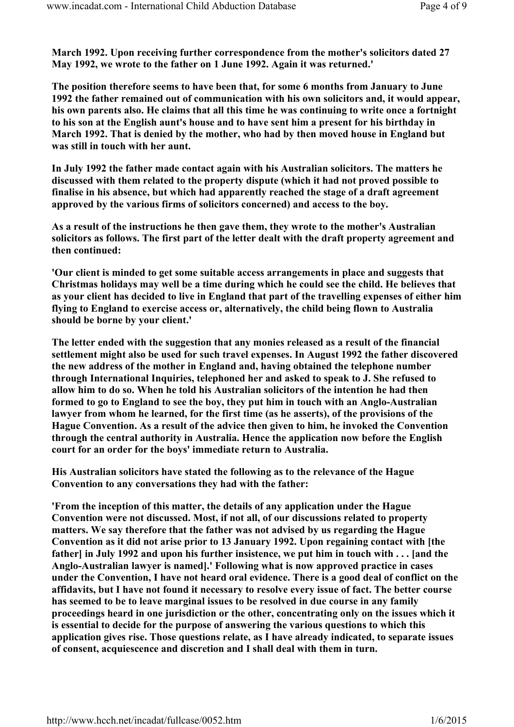March 1992. Upon receiving further correspondence from the mother's solicitors dated 27 May 1992, we wrote to the father on 1 June 1992. Again it was returned.'

The position therefore seems to have been that, for some 6 months from January to June 1992 the father remained out of communication with his own solicitors and, it would appear, his own parents also. He claims that all this time he was continuing to write once a fortnight to his son at the English aunt's house and to have sent him a present for his birthday in March 1992. That is denied by the mother, who had by then moved house in England but was still in touch with her aunt.

In July 1992 the father made contact again with his Australian solicitors. The matters he discussed with them related to the property dispute (which it had not proved possible to finalise in his absence, but which had apparently reached the stage of a draft agreement approved by the various firms of solicitors concerned) and access to the boy.

As a result of the instructions he then gave them, they wrote to the mother's Australian solicitors as follows. The first part of the letter dealt with the draft property agreement and then continued:

'Our client is minded to get some suitable access arrangements in place and suggests that Christmas holidays may well be a time during which he could see the child. He believes that as your client has decided to live in England that part of the travelling expenses of either him flying to England to exercise access or, alternatively, the child being flown to Australia should be borne by your client.'

The letter ended with the suggestion that any monies released as a result of the financial settlement might also be used for such travel expenses. In August 1992 the father discovered the new address of the mother in England and, having obtained the telephone number through International Inquiries, telephoned her and asked to speak to J. She refused to allow him to do so. When he told his Australian solicitors of the intention he had then formed to go to England to see the boy, they put him in touch with an Anglo-Australian lawyer from whom he learned, for the first time (as he asserts), of the provisions of the Hague Convention. As a result of the advice then given to him, he invoked the Convention through the central authority in Australia. Hence the application now before the English court for an order for the boys' immediate return to Australia.

His Australian solicitors have stated the following as to the relevance of the Hague Convention to any conversations they had with the father:

'From the inception of this matter, the details of any application under the Hague Convention were not discussed. Most, if not all, of our discussions related to property matters. We say therefore that the father was not advised by us regarding the Hague Convention as it did not arise prior to 13 January 1992. Upon regaining contact with [the father] in July 1992 and upon his further insistence, we put him in touch with  $\ldots$  [and the Anglo-Australian lawyer is named].' Following what is now approved practice in cases under the Convention, I have not heard oral evidence. There is a good deal of conflict on the affidavits, but I have not found it necessary to resolve every issue of fact. The better course has seemed to be to leave marginal issues to be resolved in due course in any family proceedings heard in one jurisdiction or the other, concentrating only on the issues which it is essential to decide for the purpose of answering the various questions to which this application gives rise. Those questions relate, as I have already indicated, to separate issues of consent, acquiescence and discretion and I shall deal with them in turn.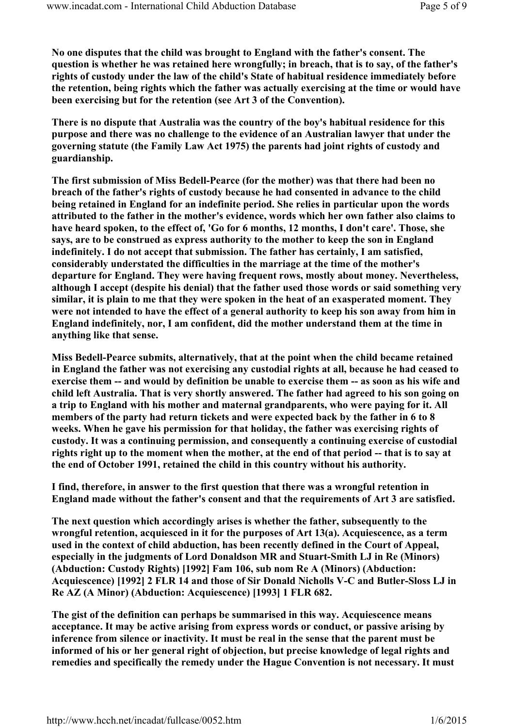No one disputes that the child was brought to England with the father's consent. The question is whether he was retained here wrongfully; in breach, that is to say, of the father's rights of custody under the law of the child's State of habitual residence immediately before the retention, being rights which the father was actually exercising at the time or would have been exercising but for the retention (see Art 3 of the Convention).

There is no dispute that Australia was the country of the boy's habitual residence for this purpose and there was no challenge to the evidence of an Australian lawyer that under the governing statute (the Family Law Act 1975) the parents had joint rights of custody and guardianship.

The first submission of Miss Bedell-Pearce (for the mother) was that there had been no breach of the father's rights of custody because he had consented in advance to the child being retained in England for an indefinite period. She relies in particular upon the words attributed to the father in the mother's evidence, words which her own father also claims to have heard spoken, to the effect of, 'Go for 6 months, 12 months, I don't care'. Those, she says, are to be construed as express authority to the mother to keep the son in England indefinitely. I do not accept that submission. The father has certainly, I am satisfied, considerably understated the difficulties in the marriage at the time of the mother's departure for England. They were having frequent rows, mostly about money. Nevertheless, although I accept (despite his denial) that the father used those words or said something very similar, it is plain to me that they were spoken in the heat of an exasperated moment. They were not intended to have the effect of a general authority to keep his son away from him in England indefinitely, nor, I am confident, did the mother understand them at the time in anything like that sense.

Miss Bedell-Pearce submits, alternatively, that at the point when the child became retained in England the father was not exercising any custodial rights at all, because he had ceased to exercise them -- and would by definition be unable to exercise them -- as soon as his wife and child left Australia. That is very shortly answered. The father had agreed to his son going on a trip to England with his mother and maternal grandparents, who were paying for it. All members of the party had return tickets and were expected back by the father in 6 to 8 weeks. When he gave his permission for that holiday, the father was exercising rights of custody. It was a continuing permission, and consequently a continuing exercise of custodial rights right up to the moment when the mother, at the end of that period -- that is to say at the end of October 1991, retained the child in this country without his authority.

I find, therefore, in answer to the first question that there was a wrongful retention in England made without the father's consent and that the requirements of Art 3 are satisfied.

The next question which accordingly arises is whether the father, subsequently to the wrongful retention, acquiesced in it for the purposes of Art 13(a). Acquiescence, as a term used in the context of child abduction, has been recently defined in the Court of Appeal, especially in the judgments of Lord Donaldson MR and Stuart-Smith LJ in Re (Minors) (Abduction: Custody Rights) [1992] Fam 106, sub nom Re A (Minors) (Abduction: Acquiescence) [1992] 2 FLR 14 and those of Sir Donald Nicholls V-C and Butler-Sloss LJ in Re AZ (A Minor) (Abduction: Acquiescence) [1993] 1 FLR 682.

The gist of the definition can perhaps be summarised in this way. Acquiescence means acceptance. It may be active arising from express words or conduct, or passive arising by inference from silence or inactivity. It must be real in the sense that the parent must be informed of his or her general right of objection, but precise knowledge of legal rights and remedies and specifically the remedy under the Hague Convention is not necessary. It must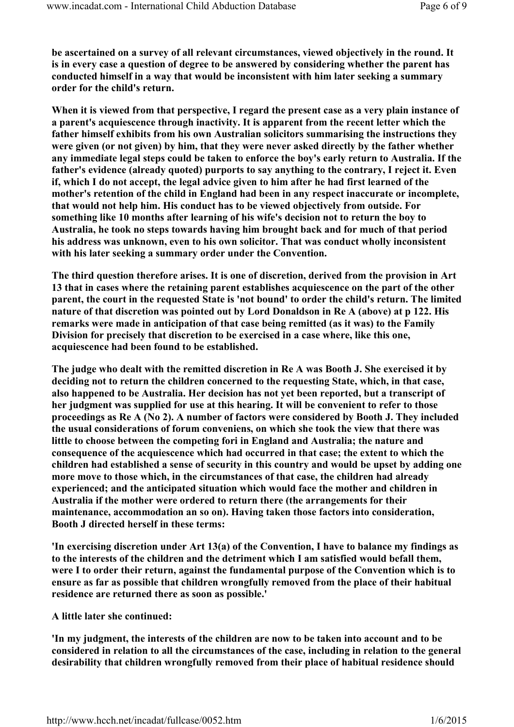be ascertained on a survey of all relevant circumstances, viewed objectively in the round. It is in every case a question of degree to be answered by considering whether the parent has conducted himself in a way that would be inconsistent with him later seeking a summary order for the child's return.

When it is viewed from that perspective, I regard the present case as a very plain instance of a parent's acquiescence through inactivity. It is apparent from the recent letter which the father himself exhibits from his own Australian solicitors summarising the instructions they were given (or not given) by him, that they were never asked directly by the father whether any immediate legal steps could be taken to enforce the boy's early return to Australia. If the father's evidence (already quoted) purports to say anything to the contrary, I reject it. Even if, which I do not accept, the legal advice given to him after he had first learned of the mother's retention of the child in England had been in any respect inaccurate or incomplete, that would not help him. His conduct has to be viewed objectively from outside. For something like 10 months after learning of his wife's decision not to return the boy to Australia, he took no steps towards having him brought back and for much of that period his address was unknown, even to his own solicitor. That was conduct wholly inconsistent with his later seeking a summary order under the Convention.

The third question therefore arises. It is one of discretion, derived from the provision in Art 13 that in cases where the retaining parent establishes acquiescence on the part of the other parent, the court in the requested State is 'not bound' to order the child's return. The limited nature of that discretion was pointed out by Lord Donaldson in Re A (above) at p 122. His remarks were made in anticipation of that case being remitted (as it was) to the Family Division for precisely that discretion to be exercised in a case where, like this one, acquiescence had been found to be established.

The judge who dealt with the remitted discretion in Re A was Booth J. She exercised it by deciding not to return the children concerned to the requesting State, which, in that case, also happened to be Australia. Her decision has not yet been reported, but a transcript of her judgment was supplied for use at this hearing. It will be convenient to refer to those proceedings as Re A (No 2). A number of factors were considered by Booth J. They included the usual considerations of forum conveniens, on which she took the view that there was little to choose between the competing fori in England and Australia; the nature and consequence of the acquiescence which had occurred in that case; the extent to which the children had established a sense of security in this country and would be upset by adding one more move to those which, in the circumstances of that case, the children had already experienced; and the anticipated situation which would face the mother and children in Australia if the mother were ordered to return there (the arrangements for their maintenance, accommodation an so on). Having taken those factors into consideration, Booth J directed herself in these terms:

'In exercising discretion under Art 13(a) of the Convention, I have to balance my findings as to the interests of the children and the detriment which I am satisfied would befall them, were I to order their return, against the fundamental purpose of the Convention which is to ensure as far as possible that children wrongfully removed from the place of their habitual residence are returned there as soon as possible.'

## A little later she continued:

'In my judgment, the interests of the children are now to be taken into account and to be considered in relation to all the circumstances of the case, including in relation to the general desirability that children wrongfully removed from their place of habitual residence should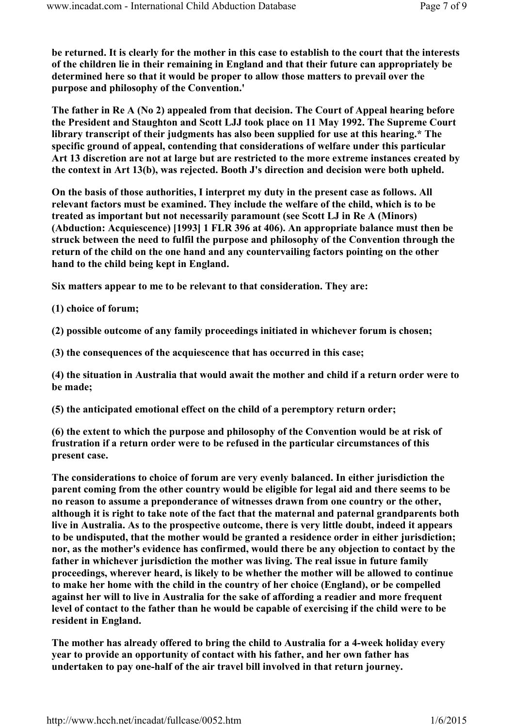be returned. It is clearly for the mother in this case to establish to the court that the interests of the children lie in their remaining in England and that their future can appropriately be determined here so that it would be proper to allow those matters to prevail over the purpose and philosophy of the Convention.'

The father in Re A (No 2) appealed from that decision. The Court of Appeal hearing before the President and Staughton and Scott LJJ took place on 11 May 1992. The Supreme Court library transcript of their judgments has also been supplied for use at this hearing.\* The specific ground of appeal, contending that considerations of welfare under this particular Art 13 discretion are not at large but are restricted to the more extreme instances created by the context in Art 13(b), was rejected. Booth J's direction and decision were both upheld.

On the basis of those authorities, I interpret my duty in the present case as follows. All relevant factors must be examined. They include the welfare of the child, which is to be treated as important but not necessarily paramount (see Scott LJ in Re A (Minors) (Abduction: Acquiescence) [1993] 1 FLR 396 at 406). An appropriate balance must then be struck between the need to fulfil the purpose and philosophy of the Convention through the return of the child on the one hand and any countervailing factors pointing on the other hand to the child being kept in England.

Six matters appear to me to be relevant to that consideration. They are:

(1) choice of forum;

(2) possible outcome of any family proceedings initiated in whichever forum is chosen;

(3) the consequences of the acquiescence that has occurred in this case;

(4) the situation in Australia that would await the mother and child if a return order were to be made;

(5) the anticipated emotional effect on the child of a peremptory return order;

(6) the extent to which the purpose and philosophy of the Convention would be at risk of frustration if a return order were to be refused in the particular circumstances of this present case.

The considerations to choice of forum are very evenly balanced. In either jurisdiction the parent coming from the other country would be eligible for legal aid and there seems to be no reason to assume a preponderance of witnesses drawn from one country or the other, although it is right to take note of the fact that the maternal and paternal grandparents both live in Australia. As to the prospective outcome, there is very little doubt, indeed it appears to be undisputed, that the mother would be granted a residence order in either jurisdiction; nor, as the mother's evidence has confirmed, would there be any objection to contact by the father in whichever jurisdiction the mother was living. The real issue in future family proceedings, wherever heard, is likely to be whether the mother will be allowed to continue to make her home with the child in the country of her choice (England), or be compelled against her will to live in Australia for the sake of affording a readier and more frequent level of contact to the father than he would be capable of exercising if the child were to be resident in England.

The mother has already offered to bring the child to Australia for a 4-week holiday every year to provide an opportunity of contact with his father, and her own father has undertaken to pay one-half of the air travel bill involved in that return journey.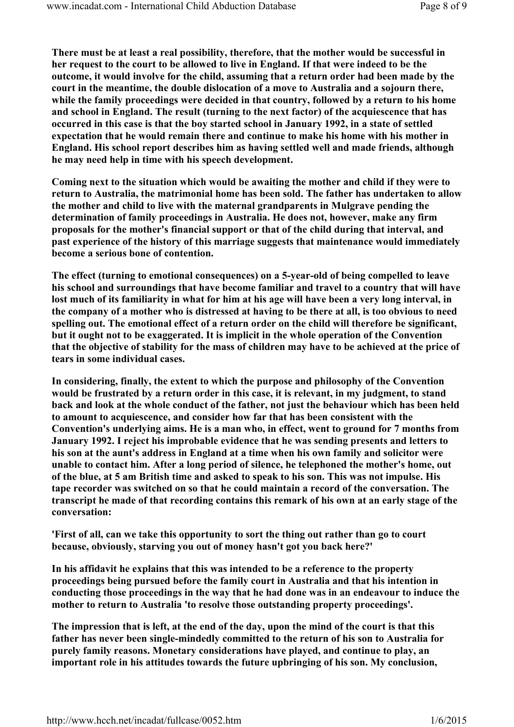There must be at least a real possibility, therefore, that the mother would be successful in her request to the court to be allowed to live in England. If that were indeed to be the outcome, it would involve for the child, assuming that a return order had been made by the court in the meantime, the double dislocation of a move to Australia and a sojourn there, while the family proceedings were decided in that country, followed by a return to his home and school in England. The result (turning to the next factor) of the acquiescence that has occurred in this case is that the boy started school in January 1992, in a state of settled expectation that he would remain there and continue to make his home with his mother in England. His school report describes him as having settled well and made friends, although he may need help in time with his speech development.

Coming next to the situation which would be awaiting the mother and child if they were to return to Australia, the matrimonial home has been sold. The father has undertaken to allow the mother and child to live with the maternal grandparents in Mulgrave pending the determination of family proceedings in Australia. He does not, however, make any firm proposals for the mother's financial support or that of the child during that interval, and past experience of the history of this marriage suggests that maintenance would immediately become a serious bone of contention.

The effect (turning to emotional consequences) on a 5-year-old of being compelled to leave his school and surroundings that have become familiar and travel to a country that will have lost much of its familiarity in what for him at his age will have been a very long interval, in the company of a mother who is distressed at having to be there at all, is too obvious to need spelling out. The emotional effect of a return order on the child will therefore be significant, but it ought not to be exaggerated. It is implicit in the whole operation of the Convention that the objective of stability for the mass of children may have to be achieved at the price of tears in some individual cases.

In considering, finally, the extent to which the purpose and philosophy of the Convention would be frustrated by a return order in this case, it is relevant, in my judgment, to stand back and look at the whole conduct of the father, not just the behaviour which has been held to amount to acquiescence, and consider how far that has been consistent with the Convention's underlying aims. He is a man who, in effect, went to ground for 7 months from January 1992. I reject his improbable evidence that he was sending presents and letters to his son at the aunt's address in England at a time when his own family and solicitor were unable to contact him. After a long period of silence, he telephoned the mother's home, out of the blue, at 5 am British time and asked to speak to his son. This was not impulse. His tape recorder was switched on so that he could maintain a record of the conversation. The transcript he made of that recording contains this remark of his own at an early stage of the conversation:

'First of all, can we take this opportunity to sort the thing out rather than go to court because, obviously, starving you out of money hasn't got you back here?'

In his affidavit he explains that this was intended to be a reference to the property proceedings being pursued before the family court in Australia and that his intention in conducting those proceedings in the way that he had done was in an endeavour to induce the mother to return to Australia 'to resolve those outstanding property proceedings'.

The impression that is left, at the end of the day, upon the mind of the court is that this father has never been single-mindedly committed to the return of his son to Australia for purely family reasons. Monetary considerations have played, and continue to play, an important role in his attitudes towards the future upbringing of his son. My conclusion,